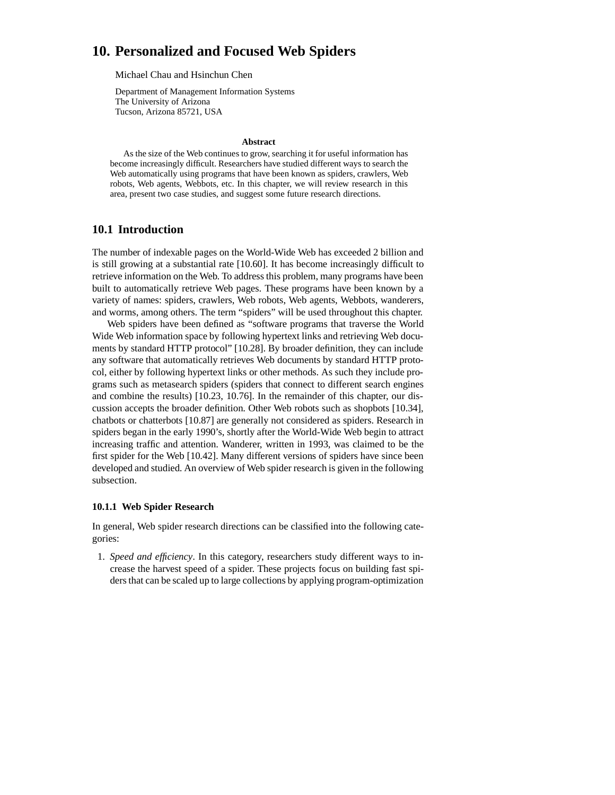# **10. Personalized and Focused Web Spiders**

Michael Chau and Hsinchun Chen

Department of Management Information Systems The University of Arizona Tucson, Arizona 85721, USA

#### **Abstract**

As the size of the Web continues to grow, searching it for useful information has become increasingly difficult. Researchers have studied different ways to search the Web automatically using programs that have been known as spiders, crawlers, Web robots, Web agents, Webbots, etc. In this chapter, we will review research in this area, present two case studies, and suggest some future research directions.

### **10.1 Introduction**

The number of indexable pages on the World-Wide Web has exceeded 2 billion and is still growing at a substantial rate [10.60]. It has become increasingly difficult to retrieve information on the Web. To address this problem, many programs have been built to automatically retrieve Web pages. These programs have been known by a variety of names: spiders, crawlers, Web robots, Web agents, Webbots, wanderers, and worms, among others. The term "spiders" will be used throughout this chapter.

Web spiders have been defined as "software programs that traverse the World Wide Web information space by following hypertext links and retrieving Web documents by standard HTTP protocol" [10.28]. By broader definition, they can include any software that automatically retrieves Web documents by standard HTTP protocol, either by following hypertext links or other methods. As such they include programs such as metasearch spiders (spiders that connect to different search engines and combine the results) [10.23, 10.76]. In the remainder of this chapter, our discussion accepts the broader definition. Other Web robots such as shopbots [10.34], chatbots or chatterbots [10.87] are generally not considered as spiders. Research in spiders began in the early 1990's, shortly after the World-Wide Web begin to attract increasing traffic and attention. Wanderer, written in 1993, was claimed to be the first spider for the Web [10.42]. Many different versions of spiders have since been developed and studied. An overview of Web spider research is given in the following subsection.

### **10.1.1 Web Spider Research**

In general, Web spider research directions can be classified into the following categories:

1. *Speed and efficiency*. In this category, researchers study different ways to increase the harvest speed of a spider. These projects focus on building fast spiders that can be scaled up to large collections by applying program-optimization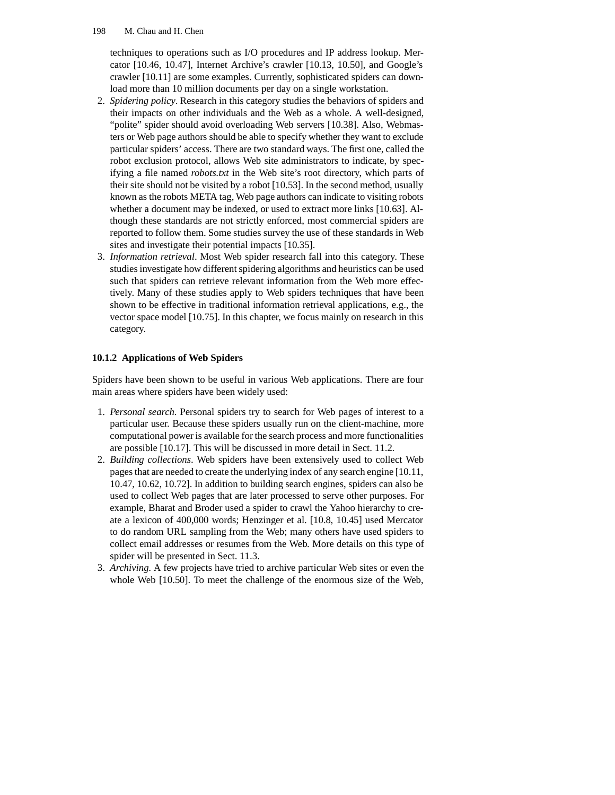techniques to operations such as I/O procedures and IP address lookup. Mercator [10.46, 10.47], Internet Archive's crawler [10.13, 10.50], and Google's crawler [10.11] are some examples. Currently, sophisticated spiders can download more than 10 million documents per day on a single workstation.

- 2. *Spidering policy*. Research in this category studies the behaviors of spiders and their impacts on other individuals and the Web as a whole. A well-designed, "polite" spider should avoid overloading Web servers [10.38]. Also, Webmasters or Web page authors should be able to specify whether they want to exclude particular spiders' access. There are two standard ways. The first one, called the robot exclusion protocol, allows Web site administrators to indicate, by specifying a file named *robots.txt* in the Web site's root directory, which parts of their site should not be visited by a robot [10.53]. In the second method, usually known as the robots META tag, Web page authors can indicate to visiting robots whether a document may be indexed, or used to extract more links [10.63]. Although these standards are not strictly enforced, most commercial spiders are reported to follow them. Some studies survey the use of these standards in Web sites and investigate their potential impacts [10.35].
- 3. *Information retrieval*. Most Web spider research fall into this category. These studies investigate how different spidering algorithms and heuristics can be used such that spiders can retrieve relevant information from the Web more effectively. Many of these studies apply to Web spiders techniques that have been shown to be effective in traditional information retrieval applications, e.g., the vector space model [10.75]. In this chapter, we focus mainly on research in this category.

### **10.1.2 Applications of Web Spiders**

Spiders have been shown to be useful in various Web applications. There are four main areas where spiders have been widely used:

- 1. *Personal search*. Personal spiders try to search for Web pages of interest to a particular user. Because these spiders usually run on the client-machine, more computational power is available for the search process and more functionalities are possible [10.17]. This will be discussed in more detail in Sect. 11.2.
- 2. *Building collections*. Web spiders have been extensively used to collect Web pagesthat are needed to create the underlying index of any search engine [10.11, 10.47, 10.62, 10.72]. In addition to building search engines, spiders can also be used to collect Web pages that are later processed to serve other purposes. For example, Bharat and Broder used a spider to crawl the Yahoo hierarchy to create a lexicon of 400,000 words; Henzinger et al. [10.8, 10.45] used Mercator to do random URL sampling from the Web; many others have used spiders to collect email addresses or resumes from the Web. More details on this type of spider will be presented in Sect. 11.3.
- 3. *Archiving*. A few projects have tried to archive particular Web sites or even the whole Web [10.50]. To meet the challenge of the enormous size of the Web,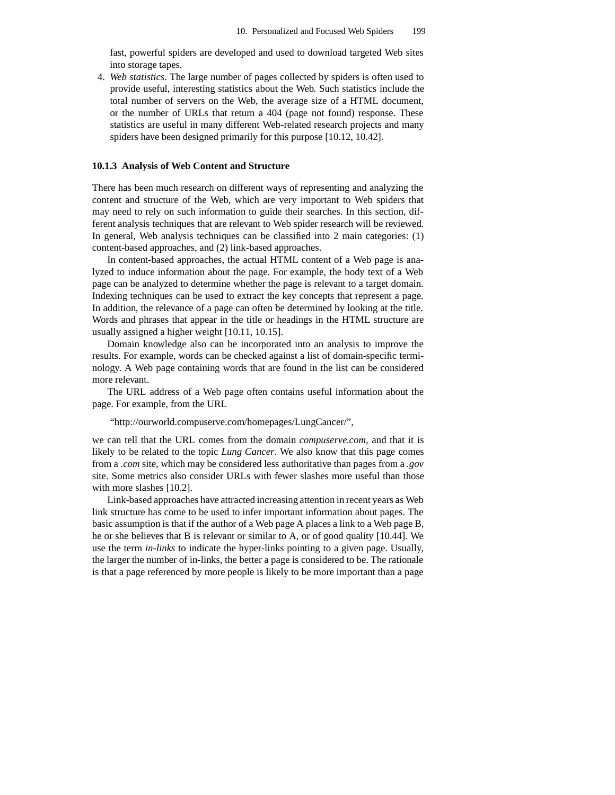fast, powerful spiders are developed and used to download targeted Web sites into storage tapes.

4. *Web statistics*. The large number of pages collected by spiders is often used to provide useful, interesting statistics about the Web. Such statistics include the total number of servers on the Web, the average size of a HTML document, or the number of URLs that return a 404 (page not found) response. These statistics are useful in many different Web-related research projects and many spiders have been designed primarily for this purpose [10.12, 10.42].

### **10.1.3 Analysis of Web Content and Structure**

There has been much research on different ways of representing and analyzing the content and structure of the Web, which are very important to Web spiders that may need to rely on such information to guide their searches. In this section, different analysis techniques that are relevant to Web spider research will be reviewed. In general, Web analysis techniques can be classified into 2 main categories: (1) content-based approaches, and (2) link-based approaches.

In content-based approaches, the actual HTML content of a Web page is analyzed to induce information about the page. For example, the body text of a Web page can be analyzed to determine whether the page is relevant to a target domain. Indexing techniques can be used to extract the key concepts that represent a page. In addition, the relevance of a page can often be determined by looking at the title. Words and phrases that appear in the title or headings in the HTML structure are usually assigned a higher weight [10.11, 10.15].

Domain knowledge also can be incorporated into an analysis to improve the results. For example, words can be checked against a list of domain-specific terminology. A Web page containing words that are found in the list can be considered more relevant.

The URL address of a Web page often contains useful information about the page. For example, from the URL

"http://ourworld.compuserve.com/homepages/LungCancer/",

we can tell that the URL comes from the domain *compuserve.com*, and that it is likely to be related to the topic *Lung Cancer*. We also know that this page comes from a *.com* site, which may be considered less authoritative than pages from a *.gov* site. Some metrics also consider URLs with fewer slashes more useful than those with more slashes [10.2].

Link-based approaches have attracted increasing attention in recent years as Web link structure has come to be used to infer important information about pages. The basic assumption is that if the author of a Web page A places a link to a Web page B, he or she believes that B is relevant or similar to A, or of good quality [10.44]. We use the term *in-links* to indicate the hyper-links pointing to a given page. Usually, the larger the number of in-links, the better a page is considered to be. The rationale is that a page referenced by more people is likely to be more important than a page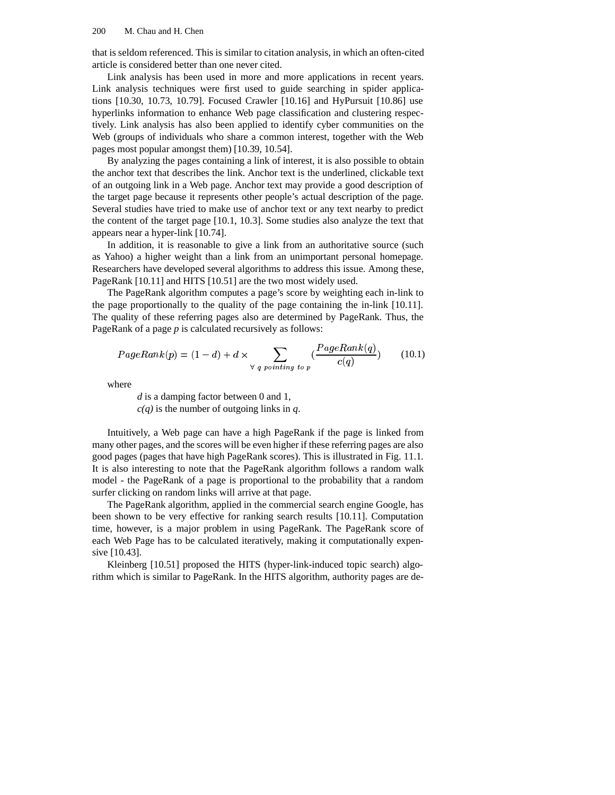that is seldom referenced. This is similar to citation analysis, in which an often-cited article is considered better than one never cited.

Link analysis has been used in more and more applications in recent years. Link analysis techniques were first used to guide searching in spider applications [10.30, 10.73, 10.79]. Focused Crawler [10.16] and HyPursuit [10.86] use hyperlinks information to enhance Web page classification and clustering respectively. Link analysis has also been applied to identify cyber communities on the Web (groups of individuals who share a common interest, together with the Web pages most popular amongst them) [10.39, 10.54].

By analyzing the pages containing a link of interest, it is also possible to obtain the anchor text that describes the link. Anchor text is the underlined, clickable text of an outgoing link in a Web page. Anchor text may provide a good description of the target page because it represents other people's actual description of the page. Several studies have tried to make use of anchor text or any text nearby to predict the content of the target page [10.1, 10.3]. Some studies also analyze the text that appears near a hyper-link [10.74].

In addition, it is reasonable to give a link from an authoritative source (such as Yahoo) a higher weight than a link from an unimportant personal homepage. Researchers have developed several algorithms to address this issue. Among these, PageRank [10.11] and HITS [10.51] are the two most widely used.

The PageRank algorithm computes a page's score by weighting each in-link to the page proportionally to the quality of the page containing the in-link [10.11]. The quality of these referring pages also are determined by PageRank. Thus, the PageRank of a page *p* is calculated recursively as follows:

$$
PageRank(p) = (1-d) + d \times \sum_{\forall q \; pointing \; to \; p} \left( \frac{PageRank(q)}{c(q)} \right) \tag{10.1}
$$

where

*d* is a damping factor between 0 and 1, *c(q)* is the number of outgoing links in *q*.

Intuitively, a Web page can have a high PageRank if the page is linked from many other pages, and the scores will be even higher if these referring pages are also good pages (pages that have high PageRank scores). This is illustrated in Fig. 11.1. It is also interesting to note that the PageRank algorithm follows a random walk model - the PageRank of a page is proportional to the probability that a random surfer clicking on random links will arrive at that page.

The PageRank algorithm, applied in the commercial search engine Google, has been shown to be very effective for ranking search results [10.11]. Computation time, however, is a major problem in using PageRank. The PageRank score of each Web Page has to be calculated iteratively, making it computationally expensive [10.43].

Kleinberg [10.51] proposed the HITS (hyper-link-induced topic search) algorithm which is similar to PageRank. In the HITS algorithm, authority pages are de-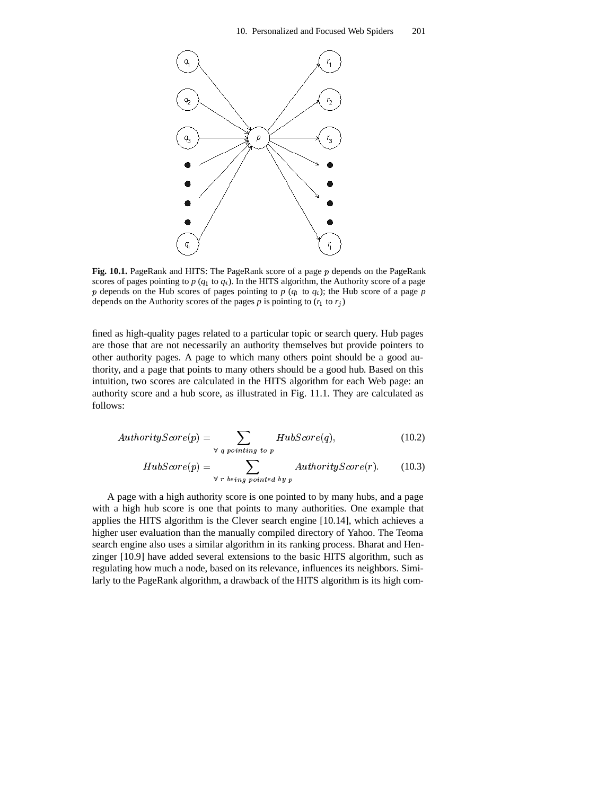

Fig. 10.1. PageRank and HITS: The PageRank score of a page p depends on the PageRank scores of pages pointing to  $p$  ( $q_1$  to  $q_i$ ). In the HITS algorithm, the Authority score of a page p depends on the Hub scores of pages pointing to  $p$  ( $q_1$  to  $q_i$ ); the Hub score of a page  $p$ depends on the Authority scores of the pages  $p$  is pointing to  $(r_1$  to  $r_j)$ 

fined as high-quality pages related to a particular topic or search query. Hub pages are those that are not necessarily an authority themselves but provide pointers to other authority pages. A page to which many others point should be a good authority, and a page that points to many others should be a good hub. Based on this intuition, two scores are calculated in the HITS algorithm for each Web page: an authority score and a hub score, as illustrated in Fig. 11.1. They are calculated as follows:

$$
AuthorityScore(p) = \sum_{\forall q \text{ pointing to } p} HubScore(q), \qquad (10.2)
$$

$$
HubScore(p) = \sum_{\forall r \ being \ pointed \ by \ p} \qquad \qquad AuthorityScore(r). \tag{10.3}
$$

A page with a high authority score is one pointed to by many hubs, and a page with a high hub score is one that points to many authorities. One example that applies the HITS algorithm is the Clever search engine [10.14], which achieves a higher user evaluation than the manually compiled directory of Yahoo. The Teoma search engine also uses a similar algorithm in its ranking process. Bharat and Henzinger [10.9] have added several extensions to the basic HITS algorithm, such as regulating how much a node, based on its relevance, influences its neighbors. Similarly to the PageRank algorithm, a drawback of the HITS algorithm is its high com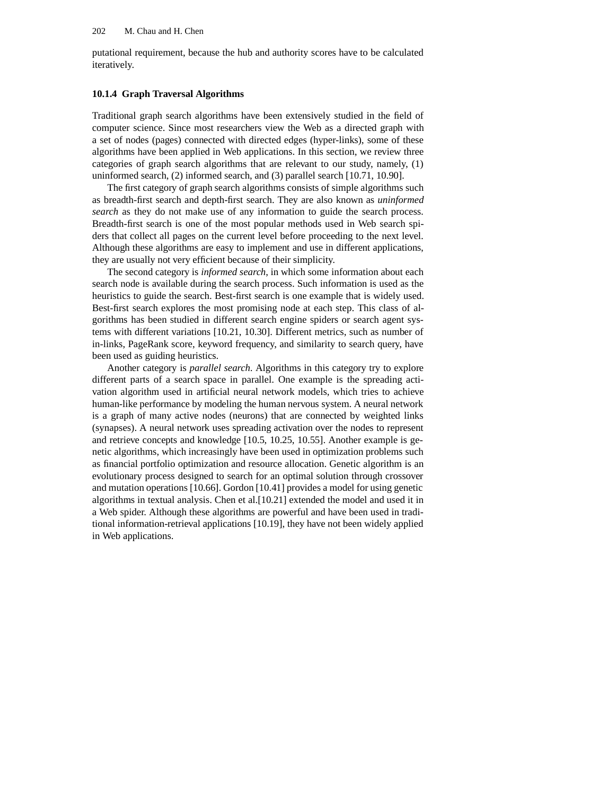putational requirement, because the hub and authority scores have to be calculated iteratively.

### **10.1.4 Graph Traversal Algorithms**

Traditional graph search algorithms have been extensively studied in the field of computer science. Since most researchers view the Web as a directed graph with a set of nodes (pages) connected with directed edges (hyper-links), some of these algorithms have been applied in Web applications. In this section, we review three categories of graph search algorithms that are relevant to our study, namely, (1) uninformed search, (2) informed search, and (3) parallel search [10.71, 10.90].

The first category of graph search algorithms consists of simple algorithms such as breadth-first search and depth-first search. They are also known as *uninformed search* as they do not make use of any information to guide the search process. Breadth-first search is one of the most popular methods used in Web search spiders that collect all pages on the current level before proceeding to the next level. Although these algorithms are easy to implement and use in different applications, they are usually not very efficient because of their simplicity.

The second category is *informed search*, in which some information about each search node is available during the search process. Such information is used as the heuristics to guide the search. Best-first search is one example that is widely used. Best-first search explores the most promising node at each step. This class of algorithms has been studied in different search engine spiders or search agent systems with different variations [10.21, 10.30]. Different metrics, such as number of in-links, PageRank score, keyword frequency, and similarity to search query, have been used as guiding heuristics.

Another category is *parallel search*. Algorithms in this category try to explore different parts of a search space in parallel. One example is the spreading activation algorithm used in artificial neural network models, which tries to achieve human-like performance by modeling the human nervous system. A neural network is a graph of many active nodes (neurons) that are connected by weighted links (synapses). A neural network uses spreading activation over the nodes to represent and retrieve concepts and knowledge [10.5, 10.25, 10.55]. Another example is genetic algorithms, which increasingly have been used in optimization problems such as financial portfolio optimization and resource allocation. Genetic algorithm is an evolutionary process designed to search for an optimal solution through crossover and mutation operations [10.66]. Gordon [10.41] provides a model for using genetic algorithms in textual analysis. Chen et al.[10.21] extended the model and used it in a Web spider. Although these algorithms are powerful and have been used in traditional information-retrieval applications [10.19], they have not been widely applied in Web applications.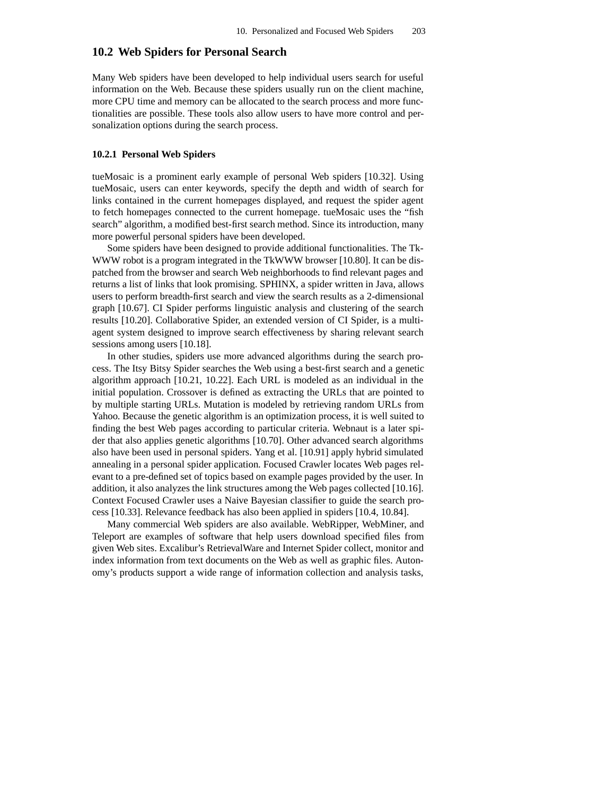### **10.2 Web Spiders for Personal Search**

Many Web spiders have been developed to help individual users search for useful information on the Web. Because these spiders usually run on the client machine, more CPU time and memory can be allocated to the search process and more functionalities are possible. These tools also allow users to have more control and personalization options during the search process.

### **10.2.1 Personal Web Spiders**

tueMosaic is a prominent early example of personal Web spiders [10.32]. Using tueMosaic, users can enter keywords, specify the depth and width of search for links contained in the current homepages displayed, and request the spider agent to fetch homepages connected to the current homepage. tueMosaic uses the "fish search" algorithm, a modified best-first search method. Since its introduction, many more powerful personal spiders have been developed.

Some spiders have been designed to provide additional functionalities. The Tk-WWW robot is a program integrated in the TkWWW browser [10.80]. It can be dispatched from the browser and search Web neighborhoods to find relevant pages and returns a list of links that look promising. SPHINX, a spider written in Java, allows users to perform breadth-first search and view the search results as a 2-dimensional graph [10.67]. CI Spider performs linguistic analysis and clustering of the search results [10.20]. Collaborative Spider, an extended version of CI Spider, is a multiagent system designed to improve search effectiveness by sharing relevant search sessions among users [10.18].

In other studies, spiders use more advanced algorithms during the search process. The Itsy Bitsy Spider searches the Web using a best-first search and a genetic algorithm approach [10.21, 10.22]. Each URL is modeled as an individual in the initial population. Crossover is defined as extracting the URLs that are pointed to by multiple starting URLs. Mutation is modeled by retrieving random URLs from Yahoo. Because the genetic algorithm is an optimization process, it is well suited to finding the best Web pages according to particular criteria. Webnaut is a later spider that also applies genetic algorithms [10.70]. Other advanced search algorithms also have been used in personal spiders. Yang et al. [10.91] apply hybrid simulated annealing in a personal spider application. Focused Crawler locates Web pages relevant to a pre-defined set of topics based on example pages provided by the user. In addition, it also analyzes the link structures among the Web pages collected [10.16]. Context Focused Crawler uses a Naive Bayesian classifier to guide the search process [10.33]. Relevance feedback has also been applied in spiders [10.4, 10.84].

Many commercial Web spiders are also available. WebRipper, WebMiner, and Teleport are examples of software that help users download specified files from given Web sites. Excalibur's RetrievalWare and Internet Spider collect, monitor and index information from text documents on the Web as well as graphic files. Autonomy's products support a wide range of information collection and analysis tasks,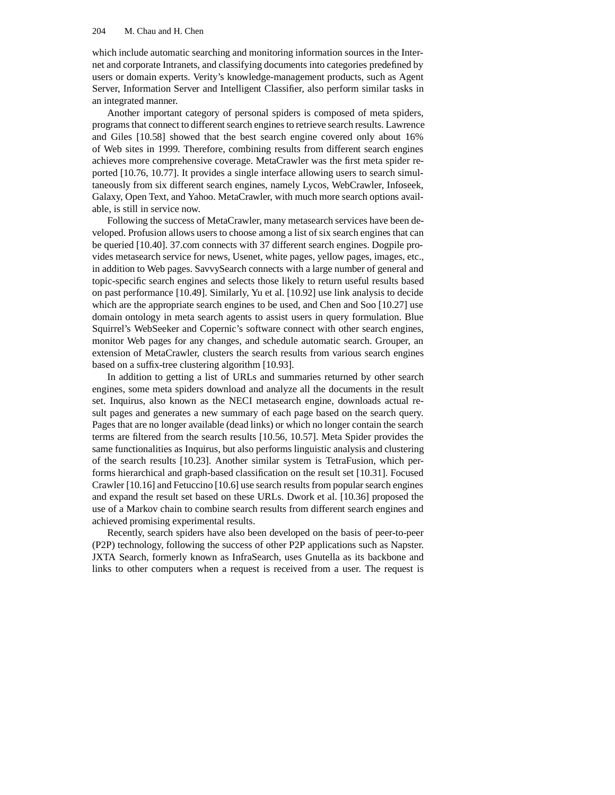which include automatic searching and monitoring information sources in the Internet and corporate Intranets, and classifying documents into categories predefined by users or domain experts. Verity's knowledge-management products, such as Agent Server, Information Server and Intelligent Classifier, also perform similar tasks in an integrated manner.

Another important category of personal spiders is composed of meta spiders, programs that connect to different search engines to retrieve search results. Lawrence and Giles [10.58] showed that the best search engine covered only about 16% of Web sites in 1999. Therefore, combining results from different search engines achieves more comprehensive coverage. MetaCrawler was the first meta spider reported [10.76, 10.77]. It provides a single interface allowing users to search simultaneously from six different search engines, namely Lycos, WebCrawler, Infoseek, Galaxy, Open Text, and Yahoo. MetaCrawler, with much more search options available, is still in service now.

Following the success of MetaCrawler, many metasearch services have been developed. Profusion allows users to choose among a list of six search engines that can be queried [10.40]. 37.com connects with 37 different search engines. Dogpile provides metasearch service for news, Usenet, white pages, yellow pages, images, etc., in addition to Web pages. SavvySearch connects with a large number of general and topic-specific search engines and selects those likely to return useful results based on past performance [10.49]. Similarly, Yu et al. [10.92] use link analysis to decide which are the appropriate search engines to be used, and Chen and Soo [10.27] use domain ontology in meta search agents to assist users in query formulation. Blue Squirrel's WebSeeker and Copernic's software connect with other search engines, monitor Web pages for any changes, and schedule automatic search. Grouper, an extension of MetaCrawler, clusters the search results from various search engines based on a suffix-tree clustering algorithm [10.93].

In addition to getting a list of URLs and summaries returned by other search engines, some meta spiders download and analyze all the documents in the result set. Inquirus, also known as the NECI metasearch engine, downloads actual result pages and generates a new summary of each page based on the search query. Pages that are no longer available (dead links) or which no longer contain the search terms are filtered from the search results [10.56, 10.57]. Meta Spider provides the same functionalities as Inquirus, but also performs linguistic analysis and clustering of the search results [10.23]. Another similar system is TetraFusion, which performs hierarchical and graph-based classification on the result set [10.31]. Focused Crawler [10.16] and Fetuccino [10.6] use search resultsfrom popularsearch engines and expand the result set based on these URLs. Dwork et al. [10.36] proposed the use of a Markov chain to combine search results from different search engines and achieved promising experimental results.

Recently, search spiders have also been developed on the basis of peer-to-peer (P2P) technology, following the success of other P2P applications such as Napster. JXTA Search, formerly known as InfraSearch, uses Gnutella as its backbone and links to other computers when a request is received from a user. The request is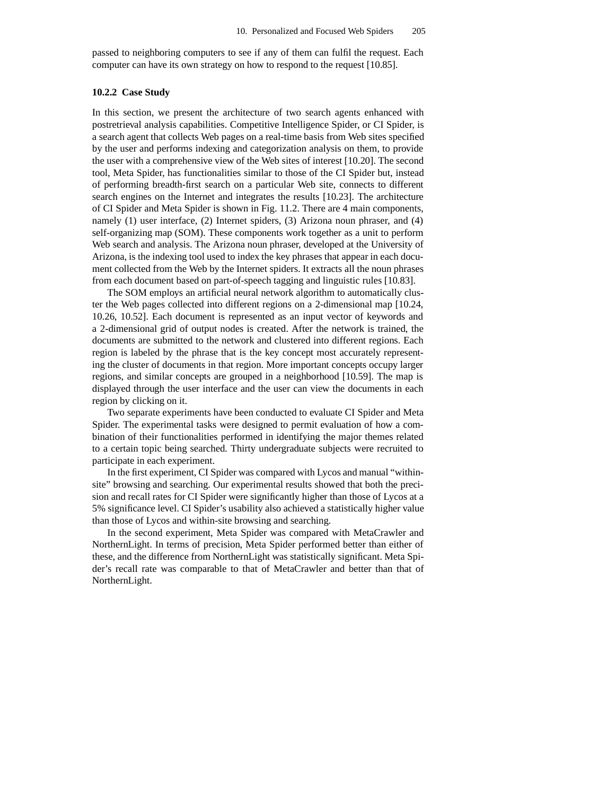passed to neighboring computers to see if any of them can fulfil the request. Each computer can have its own strategy on how to respond to the request [10.85].

### **10.2.2 Case Study**

In this section, we present the architecture of two search agents enhanced with postretrieval analysis capabilities. Competitive Intelligence Spider, or CI Spider, is a search agent that collects Web pages on a real-time basis from Web sites specified by the user and performs indexing and categorization analysis on them, to provide the user with a comprehensive view of the Web sites of interest [10.20]. The second tool, Meta Spider, has functionalities similar to those of the CI Spider but, instead of performing breadth-first search on a particular Web site, connects to different search engines on the Internet and integrates the results [10.23]. The architecture of CI Spider and Meta Spider is shown in Fig. 11.2. There are 4 main components, namely (1) user interface, (2) Internet spiders, (3) Arizona noun phraser, and (4) self-organizing map (SOM). These components work together as a unit to perform Web search and analysis. The Arizona noun phraser, developed at the University of Arizona, is the indexing tool used to index the key phrases that appear in each document collected from the Web by the Internet spiders. It extracts all the noun phrases from each document based on part-of-speech tagging and linguistic rules [10.83].

The SOM employs an artificial neural network algorithm to automatically cluster the Web pages collected into different regions on a 2-dimensional map [10.24, 10.26, 10.52]. Each document is represented as an input vector of keywords and a 2-dimensional grid of output nodes is created. After the network is trained, the documents are submitted to the network and clustered into different regions. Each region is labeled by the phrase that is the key concept most accurately representing the cluster of documents in that region. More important concepts occupy larger regions, and similar concepts are grouped in a neighborhood [10.59]. The map is displayed through the user interface and the user can view the documents in each region by clicking on it.

Two separate experiments have been conducted to evaluate CI Spider and Meta Spider. The experimental tasks were designed to permit evaluation of how a combination of their functionalities performed in identifying the major themes related to a certain topic being searched. Thirty undergraduate subjects were recruited to participate in each experiment.

In the first experiment, CI Spider was compared with Lycos and manual "withinsite" browsing and searching. Our experimental results showed that both the precision and recall rates for CI Spider were significantly higher than those of Lycos at a 5% significance level. CI Spider's usability also achieved a statistically higher value than those of Lycos and within-site browsing and searching.

In the second experiment, Meta Spider was compared with MetaCrawler and NorthernLight. In terms of precision, Meta Spider performed better than either of these, and the difference from NorthernLight was statistically significant. Meta Spider's recall rate was comparable to that of MetaCrawler and better than that of NorthernLight.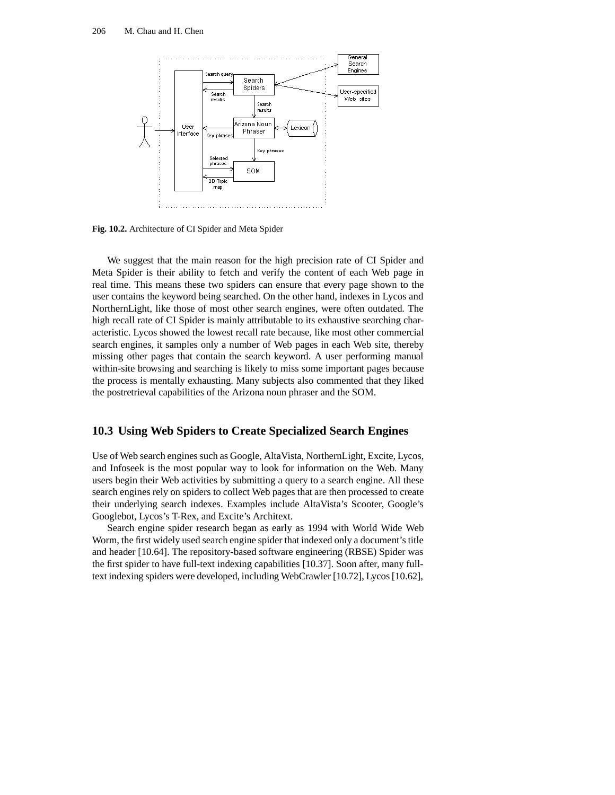

**Fig. 10.2.** Architecture of CI Spider and Meta Spider

We suggest that the main reason for the high precision rate of CI Spider and Meta Spider is their ability to fetch and verify the content of each Web page in real time. This means these two spiders can ensure that every page shown to the user contains the keyword being searched. On the other hand, indexes in Lycos and NorthernLight, like those of most other search engines, were often outdated. The high recall rate of CI Spider is mainly attributable to its exhaustive searching characteristic. Lycos showed the lowest recall rate because, like most other commercial search engines, it samples only a number of Web pages in each Web site, thereby missing other pages that contain the search keyword. A user performing manual within-site browsing and searching is likely to miss some important pages because the process is mentally exhausting. Many subjects also commented that they liked the postretrieval capabilities of the Arizona noun phraser and the SOM.

# **10.3 Using Web Spiders to Create Specialized Search Engines**

Use of Web search engines such as Google, AltaVista, NorthernLight, Excite, Lycos, and Infoseek is the most popular way to look for information on the Web. Many users begin their Web activities by submitting a query to a search engine. All these search engines rely on spiders to collect Web pages that are then processed to create their underlying search indexes. Examples include AltaVista's Scooter, Google's Googlebot, Lycos's T-Rex, and Excite's Architext.

Search engine spider research began as early as 1994 with World Wide Web Worm, the first widely used search engine spider that indexed only a document's title and header [10.64]. The repository-based software engineering (RBSE) Spider was the first spider to have full-text indexing capabilities [10.37]. Soon after, many fulltext indexing spiders were developed, including WebCrawler [10.72], Lycos [10.62],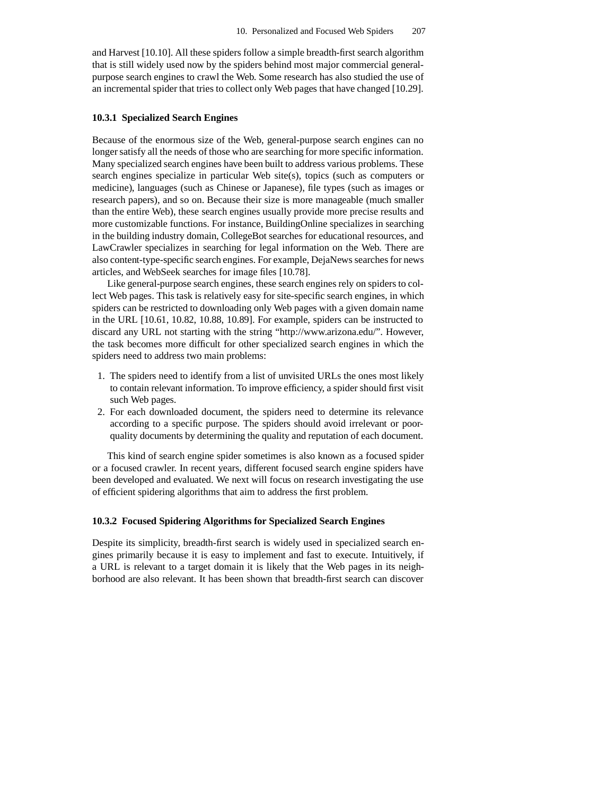and Harvest [10.10]. All these spiders follow a simple breadth-first search algorithm that is still widely used now by the spiders behind most major commercial generalpurpose search engines to crawl the Web. Some research has also studied the use of an incremental spider that tries to collect only Web pages that have changed [10.29].

### **10.3.1 Specialized Search Engines**

Because of the enormous size of the Web, general-purpose search engines can no longer satisfy all the needs of those who are searching for more specific information. Many specialized search engines have been built to address various problems. These search engines specialize in particular Web site(s), topics (such as computers or medicine), languages (such as Chinese or Japanese), file types (such as images or research papers), and so on. Because their size is more manageable (much smaller than the entire Web), these search engines usually provide more precise results and more customizable functions. For instance, BuildingOnline specializes in searching in the building industry domain, CollegeBot searches for educational resources, and LawCrawler specializes in searching for legal information on the Web. There are also content-type-specific search engines. For example, DejaNews searches for news articles, and WebSeek searches for image files [10.78].

Like general-purpose search engines, these search engines rely on spiders to collect Web pages. This task is relatively easy for site-specific search engines, in which spiders can be restricted to downloading only Web pages with a given domain name in the URL [10.61, 10.82, 10.88, 10.89]. For example, spiders can be instructed to discard any URL not starting with the string "http://www.arizona.edu/". However, the task becomes more difficult for other specialized search engines in which the spiders need to address two main problems:

- 1. The spiders need to identify from a list of unvisited URLs the ones most likely to contain relevant information. To improve efficiency, a spider should first visit such Web pages.
- 2. For each downloaded document, the spiders need to determine its relevance according to a specific purpose. The spiders should avoid irrelevant or poorquality documents by determining the quality and reputation of each document.

This kind of search engine spider sometimes is also known as a focused spider or a focused crawler. In recent years, different focused search engine spiders have been developed and evaluated. We next will focus on research investigating the use of efficient spidering algorithms that aim to address the first problem.

### **10.3.2 Focused Spidering Algorithms for Specialized Search Engines**

Despite its simplicity, breadth-first search is widely used in specialized search engines primarily because it is easy to implement and fast to execute. Intuitively, if a URL is relevant to a target domain it is likely that the Web pages in its neighborhood are also relevant. It has been shown that breadth-first search can discover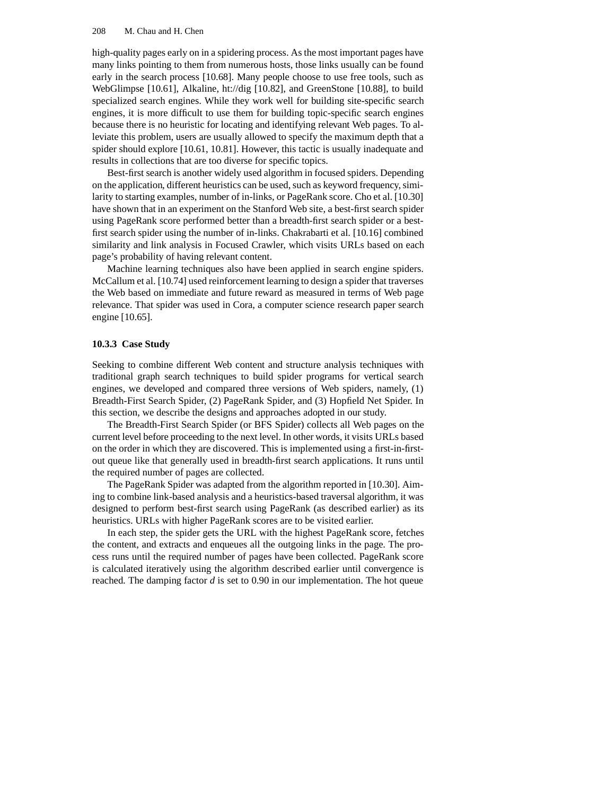high-quality pages early on in a spidering process. As the most important pages have many links pointing to them from numerous hosts, those links usually can be found early in the search process [10.68]. Many people choose to use free tools, such as WebGlimpse [10.61], Alkaline, ht://dig [10.82], and GreenStone [10.88], to build specialized search engines. While they work well for building site-specific search engines, it is more difficult to use them for building topic-specific search engines because there is no heuristic for locating and identifying relevant Web pages. To alleviate this problem, users are usually allowed to specify the maximum depth that a spider should explore [10.61, 10.81]. However, this tactic is usually inadequate and results in collections that are too diverse for specific topics.

Best-first search is another widely used algorithm in focused spiders. Depending on the application, different heuristics can be used, such as keyword frequency, similarity to starting examples, number of in-links, or PageRank score. Cho et al. [10.30] have shown that in an experiment on the Stanford Web site, a best-first search spider using PageRank score performed better than a breadth-first search spider or a bestfirst search spider using the number of in-links. Chakrabarti et al. [10.16] combined similarity and link analysis in Focused Crawler, which visits URLs based on each page's probability of having relevant content.

Machine learning techniques also have been applied in search engine spiders. McCallum et al. [10.74] used reinforcement learning to design a spider that traverses the Web based on immediate and future reward as measured in terms of Web page relevance. That spider was used in Cora, a computer science research paper search engine [10.65].

### **10.3.3 Case Study**

Seeking to combine different Web content and structure analysis techniques with traditional graph search techniques to build spider programs for vertical search engines, we developed and compared three versions of Web spiders, namely, (1) Breadth-First Search Spider, (2) PageRank Spider, and (3) Hopfield Net Spider. In this section, we describe the designs and approaches adopted in our study.

The Breadth-First Search Spider (or BFS Spider) collects all Web pages on the current level before proceeding to the next level. In other words, it visits URLs based on the order in which they are discovered. This is implemented using a first-in-firstout queue like that generally used in breadth-first search applications. It runs until the required number of pages are collected.

The PageRank Spider was adapted from the algorithm reported in [10.30]. Aiming to combine link-based analysis and a heuristics-based traversal algorithm, it was designed to perform best-first search using PageRank (as described earlier) as its heuristics. URLs with higher PageRank scores are to be visited earlier.

In each step, the spider gets the URL with the highest PageRank score, fetches the content, and extracts and enqueues all the outgoing links in the page. The process runs until the required number of pages have been collected. PageRank score is calculated iteratively using the algorithm described earlier until convergence is reached. The damping factor *d* is set to 0.90 in our implementation. The hot queue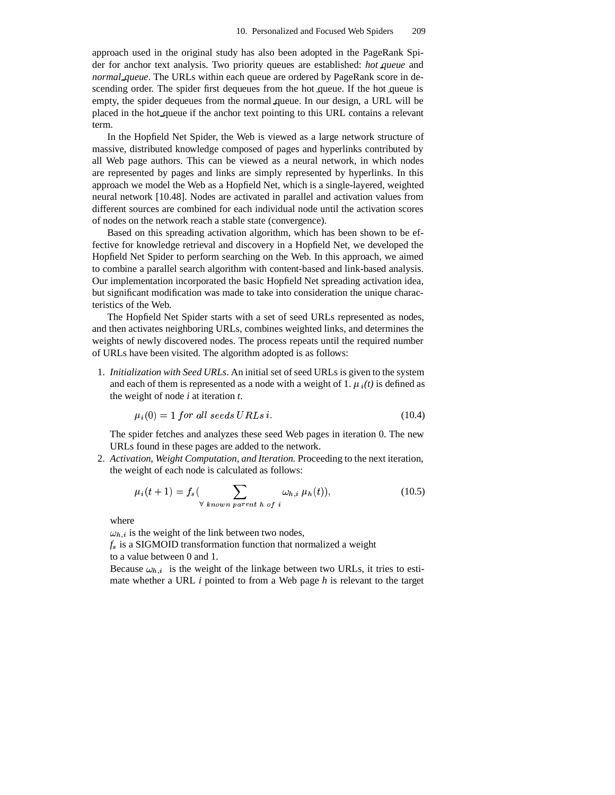approach used in the original study has also been adopted in the PageRank Spider for anchor text analysis. Two priority queues are established: *hot queue* and *normal queue*. The URLs within each queue are ordered by PageRank score in descending order. The spider first dequeues from the hot queue. If the hot queue is empty, the spider dequeues from the normal queue. In our design, a URL will be placed in the hot queue if the anchor text pointing to this URL contains a relevant term.

In the Hopfield Net Spider, the Web is viewed as a large network structure of massive, distributed knowledge composed of pages and hyperlinks contributed by all Web page authors. This can be viewed as a neural network, in which nodes are represented by pages and links are simply represented by hyperlinks. In this approach we model the Web as a Hopfield Net, which is a single-layered, weighted neural network [10.48]. Nodes are activated in parallel and activation values from different sources are combined for each individual node until the activation scores of nodes on the network reach a stable state (convergence).

Based on this spreading activation algorithm, which has been shown to be effective for knowledge retrieval and discovery in a Hopfield Net, we developed the Hopfield Net Spider to perform searching on the Web. In this approach, we aimed to combine a parallel search algorithm with content-based and link-based analysis. Our implementation incorporated the basic Hopfield Net spreading activation idea, but significant modification was made to take into consideration the unique characteristics of the Web.

The Hopfield Net Spider starts with a set of seed URLs represented as nodes, and then activates neighboring URLs, combines weighted links, and determines the weights of newly discovered nodes. The process repeats until the required number of URLs have been visited. The algorithm adopted is as follows:

1. *Initialization with Seed URLs*. An initial set ofseed URLs is given to the system and each of them is represented as a node with a weight of 1.  $\mu_i(t)$  is defined as the weight of node *i* at iteration *t*.

$$
\mu_i(0) = 1 \text{ for all seeds } URLs \text{ } i. \tag{10.4}
$$

The spider fetches and analyzes these seed Web pages in iteration 0. The new URLs found in these pages are added to the network.

2. *Activation, Weight Computation, and Iteration*. Proceeding to the next iteration, the weight of each node is calculated as follows:

$$
\mu_i(t+1) = f_s(\sum_{\forall \text{ known parent } h \text{ of } i} \omega_{h,i} \mu_h(t)), \qquad (10.5)
$$

where

 $h, i$  is the weight of the link between two nodes,

 $f_s$  is a SIGMOID transformation function that normalized a weight to a value between 0 and 1.

Because  $\omega_{h,i}$  is the weight of the linkage between two URLs, it tries to estimate whether a URL *i* pointed to from a Web page *h* is relevant to the target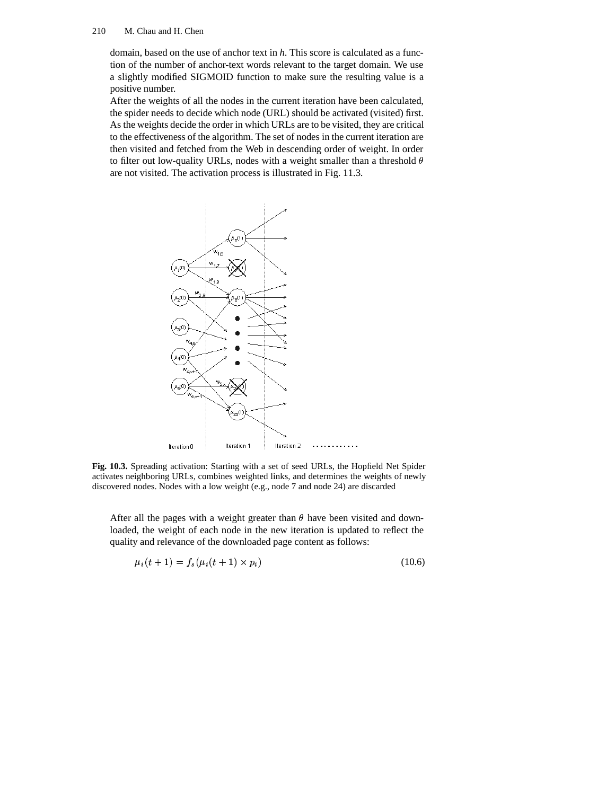domain, based on the use of anchor text in *h*. This score is calculated as a function of the number of anchor-text words relevant to the target domain. We use a slightly modified SIGMOID function to make sure the resulting value is a positive number.

After the weights of all the nodes in the current iteration have been calculated, the spider needs to decide which node (URL) should be activated (visited) first. As the weights decide the order in which URLs are to be visited, they are critical to the effectiveness of the algorithm. The set of nodes in the current iteration are then visited and fetched from the Web in descending order of weight. In order to filter out low-quality URLs, nodes with a weight smaller than a threshold  $\theta$ are not visited. The activation process is illustrated in Fig. 11.3.



**Fig. 10.3.** Spreading activation: Starting with a set of seed URLs, the Hopfield Net Spider activates neighboring URLs, combines weighted links, and determines the weights of newly discovered nodes. Nodes with a low weight (e.g., node 7 and node 24) are discarded

After all the pages with a weight greater than  $\theta$  have been visited and downloaded, the weight of each node in the new iteration is updated to reflect the quality and relevance of the downloaded page content as follows:

$$
\mu_i(t+1) = f_s(\mu_i(t+1) \times p_i) \tag{10.6}
$$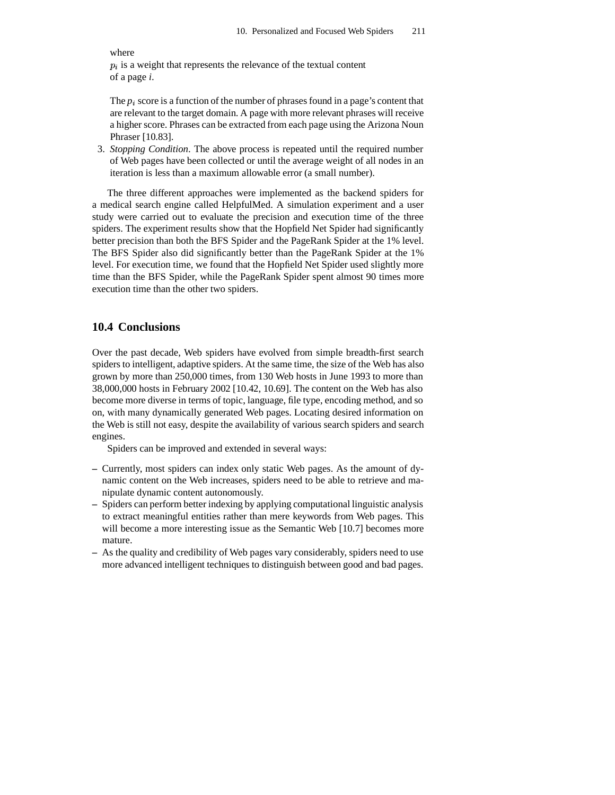where

 $p_i$  is a weight that represents the relevance of the textual content of a page *i*.

The  $p_i$  score is a function of the number of phrases found in a page's content that are relevant to the target domain. A page with more relevant phrases will receive a higher score. Phrases can be extracted from each page using the Arizona Noun Phraser [10.83].

3. *Stopping Condition*. The above process is repeated until the required number of Web pages have been collected or until the average weight of all nodes in an iteration is less than a maximum allowable error (a small number).

The three different approaches were implemented as the backend spiders for a medical search engine called HelpfulMed. A simulation experiment and a user study were carried out to evaluate the precision and execution time of the three spiders. The experiment results show that the Hopfield Net Spider had significantly better precision than both the BFS Spider and the PageRank Spider at the 1% level. The BFS Spider also did significantly better than the PageRank Spider at the 1% level. For execution time, we found that the Hopfield Net Spider used slightly more time than the BFS Spider, while the PageRank Spider spent almost 90 times more execution time than the other two spiders.

# **10.4 Conclusions**

Over the past decade, Web spiders have evolved from simple breadth-first search spiders to intelligent, adaptive spiders. At the same time, the size of the Web has also grown by more than 250,000 times, from 130 Web hosts in June 1993 to more than 38,000,000 hosts in February 2002 [10.42, 10.69]. The content on the Web has also become more diverse in terms of topic, language, file type, encoding method, and so on, with many dynamically generated Web pages. Locating desired information on the Web is still not easy, despite the availability of various search spiders and search engines.

Spiders can be improved and extended in several ways:

- **–** Currently, most spiders can index only static Web pages. As the amount of dynamic content on the Web increases, spiders need to be able to retrieve and manipulate dynamic content autonomously.
- **–** Spiders can perform better indexing by applying computational linguistic analysis to extract meaningful entities rather than mere keywords from Web pages. This will become a more interesting issue as the Semantic Web [10.7] becomes more mature.
- **–** As the quality and credibility of Web pages vary considerably, spiders need to use more advanced intelligent techniques to distinguish between good and bad pages.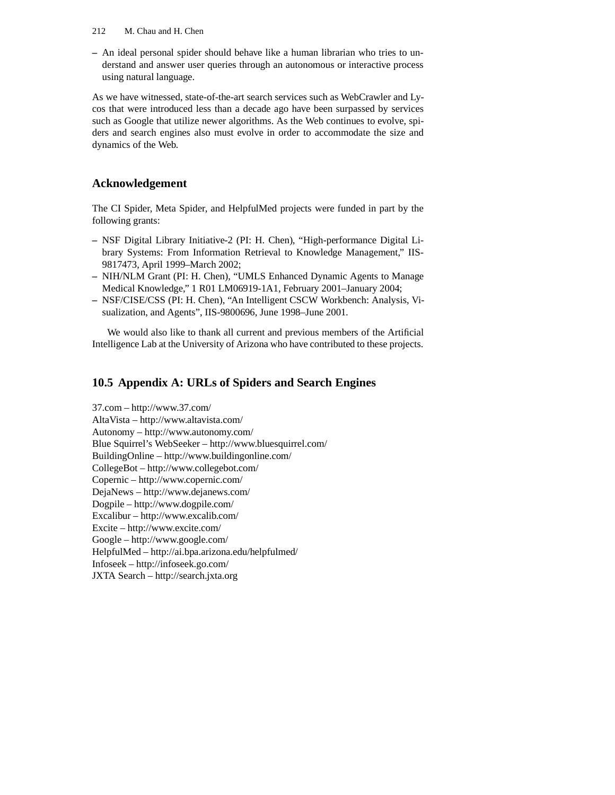**–** An ideal personal spider should behave like a human librarian who tries to understand and answer user queries through an autonomous or interactive process using natural language.

As we have witnessed, state-of-the-art search services such as WebCrawler and Lycos that were introduced less than a decade ago have been surpassed by services such as Google that utilize newer algorithms. As the Web continues to evolve, spiders and search engines also must evolve in order to accommodate the size and dynamics of the Web.

# **Acknowledgement**

The CI Spider, Meta Spider, and HelpfulMed projects were funded in part by the following grants:

- **–** NSF Digital Library Initiative-2 (PI: H. Chen), "High-performance Digital Library Systems: From Information Retrieval to Knowledge Management," IIS-9817473, April 1999–March 2002;
- **–** NIH/NLM Grant (PI: H. Chen), "UMLS Enhanced Dynamic Agents to Manage Medical Knowledge," 1 R01 LM06919-1A1, February 2001–January 2004;
- **–** NSF/CISE/CSS (PI: H. Chen), "An Intelligent CSCW Workbench: Analysis, Visualization, and Agents", IIS-9800696, June 1998–June 2001.

We would also like to thank all current and previous members of the Artificial Intelligence Lab at the University of Arizona who have contributed to these projects.

# **10.5 Appendix A: URLs of Spiders and Search Engines**

37.com – http://www.37.com/ AltaVista – http://www.altavista.com/ Autonomy – http://www.autonomy.com/ Blue Squirrel's WebSeeker – http://www.bluesquirrel.com/ BuildingOnline – http://www.buildingonline.com/ CollegeBot – http://www.collegebot.com/ Copernic – http://www.copernic.com/ DejaNews – http://www.dejanews.com/ Dogpile – http://www.dogpile.com/ Excalibur – http://www.excalib.com/ Excite – http://www.excite.com/ Google – http://www.google.com/ HelpfulMed – http://ai.bpa.arizona.edu/helpfulmed/ Infoseek – http://infoseek.go.com/ JXTA Search – http://search.jxta.org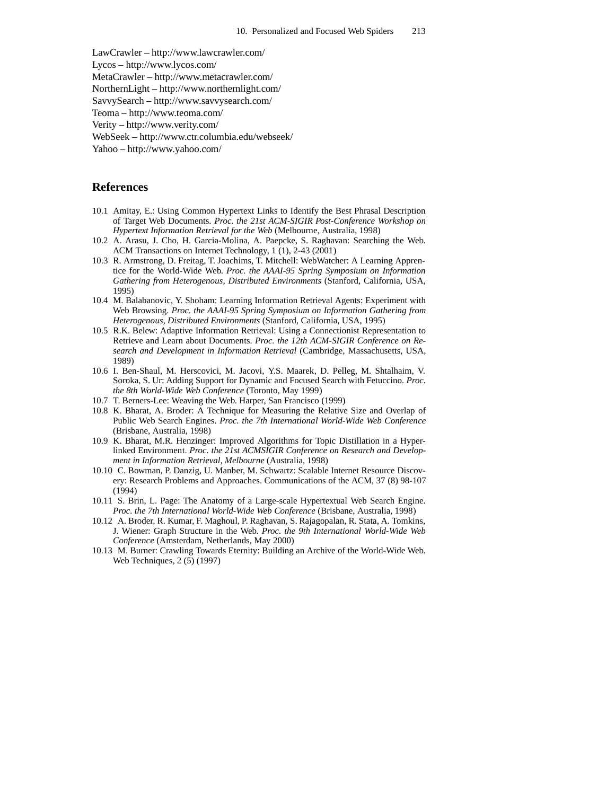LawCrawler – http://www.lawcrawler.com/

Lycos – http://www.lycos.com/

MetaCrawler – http://www.metacrawler.com/

NorthernLight – http://www.northernlight.com/

SavvySearch – http://www.savvysearch.com/

Teoma – http://www.teoma.com/

Verity – http://www.verity.com/

WebSeek – http://www.ctr.columbia.edu/webseek/

Yahoo – http://www.yahoo.com/

### **References**

- 10.1 Amitay, E.: Using Common Hypertext Links to Identify the Best Phrasal Description of Target Web Documents. *Proc. the 21st ACM-SIGIR Post-Conference Workshop on Hypertext Information Retrieval for the Web* (Melbourne, Australia, 1998)
- 10.2 A. Arasu, J. Cho, H. Garcia-Molina, A. Paepcke, S. Raghavan: Searching the Web. ACM Transactions on Internet Technology, 1 (1), 2-43 (2001)
- 10.3 R. Armstrong, D. Freitag, T. Joachims, T. Mitchell: WebWatcher: A Learning Apprentice for the World-Wide Web. *Proc. the AAAI-95 Spring Symposium on Information Gathering from Heterogenous, Distributed Environments* (Stanford, California, USA, 1995)
- 10.4 M. Balabanovic, Y. Shoham: Learning Information Retrieval Agents: Experiment with Web Browsing. *Proc. the AAAI-95 Spring Symposium on Information Gathering from Heterogenous, Distributed Environments* (Stanford, California, USA, 1995)
- 10.5 R.K. Belew: Adaptive Information Retrieval: Using a Connectionist Representation to Retrieve and Learn about Documents. *Proc. the 12th ACM-SIGIR Conference on Research and Development in Information Retrieval* (Cambridge, Massachusetts, USA, 1989)
- 10.6 I. Ben-Shaul, M. Herscovici, M. Jacovi, Y.S. Maarek, D. Pelleg, M. Shtalhaim, V. Soroka, S. Ur: Adding Support for Dynamic and Focused Search with Fetuccino. *Proc. the 8th World-Wide Web Conference* (Toronto, May 1999)
- 10.7 T. Berners-Lee: Weaving the Web. Harper, San Francisco (1999)
- 10.8 K. Bharat, A. Broder: A Technique for Measuring the Relative Size and Overlap of Public Web Search Engines. *Proc. the 7th International World-Wide Web Conference* (Brisbane, Australia, 1998)
- 10.9 K. Bharat, M.R. Henzinger: Improved Algorithms for Topic Distillation in a Hyperlinked Environment. *Proc. the 21st ACMSIGIR Conference on Research and Development in Information Retrieval, Melbourne* (Australia, 1998)
- 10.10 C. Bowman, P. Danzig, U. Manber, M. Schwartz: Scalable Internet Resource Discovery: Research Problems and Approaches. Communications of the ACM, 37 (8) 98-107 (1994)
- 10.11 S. Brin, L. Page: The Anatomy of a Large-scale Hypertextual Web Search Engine. *Proc. the 7th International World-Wide Web Conference* (Brisbane, Australia, 1998)
- 10.12 A. Broder, R. Kumar, F. Maghoul, P. Raghavan, S. Rajagopalan, R. Stata, A. Tomkins, J. Wiener: Graph Structure in the Web. *Proc. the 9th International World-Wide Web Conference* (Amsterdam, Netherlands, May 2000)
- 10.13 M. Burner: Crawling Towards Eternity: Building an Archive of the World-Wide Web. Web Techniques, 2 (5) (1997)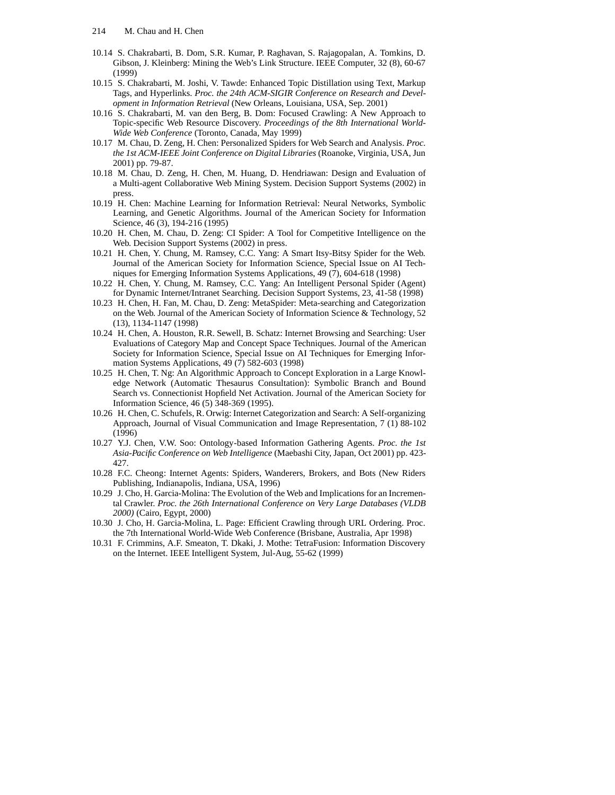- 10.14 S. Chakrabarti, B. Dom, S.R. Kumar, P. Raghavan, S. Rajagopalan, A. Tomkins, D. Gibson, J. Kleinberg: Mining the Web's Link Structure. IEEE Computer, 32 (8), 60-67 (1999)
- 10.15 S. Chakrabarti, M. Joshi, V. Tawde: Enhanced Topic Distillation using Text, Markup Tags, and Hyperlinks. *Proc. the 24th ACM-SIGIR Conference on Research and Development in Information Retrieval* (New Orleans, Louisiana, USA, Sep. 2001)
- 10.16 S. Chakrabarti, M. van den Berg, B. Dom: Focused Crawling: A New Approach to Topic-specific Web Resource Discovery. *Proceedings of the 8th International World-Wide Web Conference* (Toronto, Canada, May 1999)
- 10.17 M. Chau, D. Zeng, H. Chen: Personalized Spiders for Web Search and Analysis. *Proc. the 1st ACM-IEEE Joint Conference on Digital Libraries* (Roanoke, Virginia, USA, Jun 2001) pp. 79-87.
- 10.18 M. Chau, D. Zeng, H. Chen, M. Huang, D. Hendriawan: Design and Evaluation of a Multi-agent Collaborative Web Mining System. Decision Support Systems (2002) in press.
- 10.19 H. Chen: Machine Learning for Information Retrieval: Neural Networks, Symbolic Learning, and Genetic Algorithms. Journal of the American Society for Information Science, 46 (3), 194-216 (1995)
- 10.20 H. Chen, M. Chau, D. Zeng: CI Spider: A Tool for Competitive Intelligence on the Web. Decision Support Systems (2002) in press.
- 10.21 H. Chen, Y. Chung, M. Ramsey, C.C. Yang: A Smart Itsy-Bitsy Spider for the Web. Journal of the American Society for Information Science, Special Issue on AI Techniques for Emerging Information Systems Applications, 49 (7), 604-618 (1998)
- 10.22 H. Chen, Y. Chung, M. Ramsey, C.C. Yang: An Intelligent Personal Spider (Agent) for Dynamic Internet/Intranet Searching. Decision Support Systems, 23, 41-58 (1998)
- 10.23 H. Chen, H. Fan, M. Chau, D. Zeng: MetaSpider: Meta-searching and Categorization on the Web. Journal of the American Society of Information Science & Technology, 52 (13), 1134-1147 (1998)
- 10.24 H. Chen, A. Houston, R.R. Sewell, B. Schatz: Internet Browsing and Searching: User Evaluations of Category Map and Concept Space Techniques. Journal of the American Society for Information Science, Special Issue on AI Techniques for Emerging Information Systems Applications, 49 (7) 582-603 (1998)
- 10.25 H. Chen, T. Ng: An Algorithmic Approach to Concept Exploration in a Large Knowledge Network (Automatic Thesaurus Consultation): Symbolic Branch and Bound Search vs. Connectionist Hopfield Net Activation. Journal of the American Society for Information Science, 46 (5) 348-369 (1995).
- 10.26 H. Chen, C. Schufels, R. Orwig: Internet Categorization and Search: A Self-organizing Approach, Journal of Visual Communication and Image Representation, 7 (1) 88-102 (1996)
- 10.27 Y.J. Chen, V.W. Soo: Ontology-based Information Gathering Agents. *Proc. the 1st Asia-Pacific Conference on Web Intelligence* (Maebashi City, Japan, Oct 2001) pp. 423- 427.
- 10.28 F.C. Cheong: Internet Agents: Spiders, Wanderers, Brokers, and Bots (New Riders Publishing, Indianapolis, Indiana, USA, 1996)
- 10.29 J. Cho, H. Garcia-Molina: The Evolution of the Web and Implications for an Incremental Crawler. *Proc. the 26th International Conference on Very Large Databases (VLDB 2000)* (Cairo, Egypt, 2000)
- 10.30 J. Cho, H. Garcia-Molina, L. Page: Efficient Crawling through URL Ordering. Proc. the 7th International World-Wide Web Conference (Brisbane, Australia, Apr 1998)
- 10.31 F. Crimmins, A.F. Smeaton, T. Dkaki, J. Mothe: TetraFusion: Information Discovery on the Internet. IEEE Intelligent System, Jul-Aug, 55-62 (1999)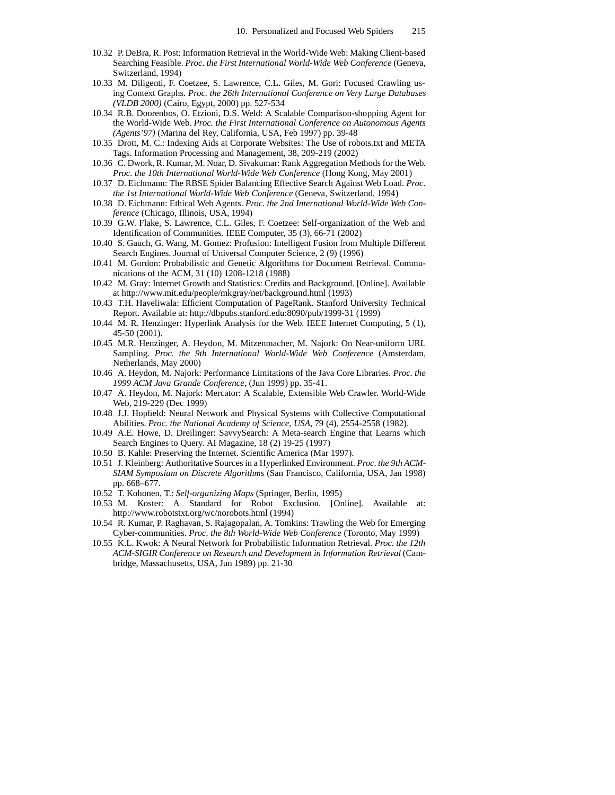- 10.32 P. DeBra, R. Post: Information Retrieval in the World-Wide Web: Making Client-based Searching Feasible. *Proc. the First International World-Wide Web Conference* (Geneva, Switzerland, 1994)
- 10.33 M. Diligenti, F. Coetzee, S. Lawrence, C.L. Giles, M. Gori: Focused Crawling using Context Graphs. *Proc. the 26th International Conference on Very Large Databases (VLDB 2000)* (Cairo, Egypt, 2000) pp. 527-534
- 10.34 R.B. Doorenbos, O. Etzioni, D.S. Weld: A Scalable Comparison-shopping Agent for the World-Wide Web. *Proc. the First International Conference on Autonomous Agents (Agents'97)* (Marina del Rey, California, USA, Feb 1997) pp. 39-48
- 10.35 Drott, M. C.: Indexing Aids at Corporate Websites: The Use of robots.txt and META Tags. Information Processing and Management, 38, 209-219 (2002)
- 10.36 C. Dwork, R. Kumar, M. Noar, D. Sivakumar: Rank Aggregation Methods for the Web. *Proc. the 10th International World-Wide Web Conference* (Hong Kong, May 2001)
- 10.37 D. Eichmann: The RBSE Spider Balancing Effective Search Against Web Load. *Proc. the 1st International World-Wide Web Conference* (Geneva, Switzerland, 1994)
- 10.38 D. Eichmann: Ethical Web Agents. *Proc. the 2nd International World-Wide Web Conference* (Chicago, Illinois, USA, 1994)
- 10.39 G.W. Flake, S. Lawrence, C.L. Giles, F. Coetzee: Self-organization of the Web and Identification of Communities. IEEE Computer, 35 (3), 66-71 (2002)
- 10.40 S. Gauch, G. Wang, M. Gomez: Profusion: Intelligent Fusion from Multiple Different Search Engines. Journal of Universal Computer Science, 2 (9) (1996)
- 10.41 M. Gordon: Probabilistic and Genetic Algorithms for Document Retrieval. Communications of the ACM, 31 (10) 1208-1218 (1988)
- 10.42 M. Gray: Internet Growth and Statistics: Credits and Background. [Online]. Available at http://www.mit.edu/people/mkgray/net/background.html (1993)
- 10.43 T.H. Haveliwala: Efficient Computation of PageRank. Stanford University Technical Report. Available at: http://dbpubs.stanford.edu:8090/pub/1999-31 (1999)
- 10.44 M. R. Henzinger: Hyperlink Analysis for the Web. IEEE Internet Computing, 5 (1), 45-50 (2001).
- 10.45 M.R. Henzinger, A. Heydon, M. Mitzenmacher, M. Najork: On Near-uniform URL Sampling. *Proc. the 9th International World-Wide Web Conference* (Amsterdam, Netherlands, May 2000)
- 10.46 A. Heydon, M. Najork: Performance Limitations of the Java Core Libraries. *Proc. the 1999 ACM Java Grande Conference*, (Jun 1999) pp. 35-41.
- 10.47 A. Heydon, M. Najork: Mercator: A Scalable, Extensible Web Crawler. World-Wide Web, 219-229 (Dec 1999)
- 10.48 J.J. Hopfield: Neural Network and Physical Systems with Collective Computational Abilities. *Proc. the National Academy of Science, USA*, 79 (4), 2554-2558 (1982).
- 10.49 A.E. Howe, D. Dreilinger: SavvySearch: A Meta-search Engine that Learns which Search Engines to Query. AI Magazine, 18 (2) 19-25 (1997)
- 10.50 B. Kahle: Preserving the Internet. Scientific America (Mar 1997).
- 10.51 J. Kleinberg: Authoritative Sources in a Hyperlinked Environment. *Proc. the 9th ACM-SIAM Symposium on Discrete Algorithms* (San Francisco, California, USA, Jan 1998) pp. 668–677.
- 10.52 T. Kohonen, T.: *Self-organizing Maps* (Springer, Berlin, 1995)
- 10.53 M. Koster: A Standard for Robot Exclusion. [Online]. Available at: http://www.robotstxt.org/wc/norobots.html (1994)
- 10.54 R. Kumar, P. Raghavan, S. Rajagopalan, A. Tomkins: Trawling the Web for Emerging Cyber-communities. *Proc. the 8th World-Wide Web Conference* (Toronto, May 1999)
- 10.55 K.L. Kwok: A Neural Network for Probabilistic Information Retrieval. *Proc. the 12th ACM-SIGIR Conference on Research and Development in Information Retrieval* (Cambridge, Massachusetts, USA, Jun 1989) pp. 21-30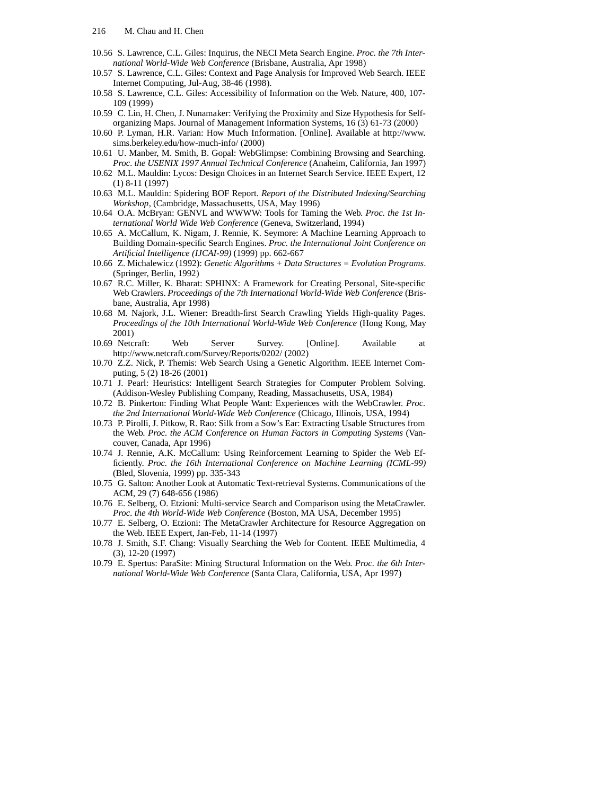- 10.56 S. Lawrence, C.L. Giles: Inquirus, the NECI Meta Search Engine. *Proc. the 7th International World-Wide Web Conference* (Brisbane, Australia, Apr 1998)
- 10.57 S. Lawrence, C.L. Giles: Context and Page Analysis for Improved Web Search. IEEE Internet Computing, Jul-Aug, 38-46 (1998).
- 10.58 S. Lawrence, C.L. Giles: Accessibility of Information on the Web. Nature, 400, 107- 109 (1999)
- 10.59 C. Lin, H. Chen, J. Nunamaker: Verifying the Proximity and Size Hypothesis for Selforganizing Maps. Journal of Management Information Systems, 16 (3) 61-73 (2000)
- 10.60 P. Lyman, H.R. Varian: How Much Information. [Online]. Available at http://www. sims.berkeley.edu/how-much-info/ (2000)
- 10.61 U. Manber, M. Smith, B. Gopal: WebGlimpse: Combining Browsing and Searching. *Proc. the USENIX 1997 Annual Technical Conference* (Anaheim, California, Jan 1997)
- 10.62 M.L. Mauldin: Lycos: Design Choices in an Internet Search Service. IEEE Expert, 12 (1) 8-11 (1997)
- 10.63 M.L. Mauldin: Spidering BOF Report. *Report of the Distributed Indexing/Searching Workshop*, (Cambridge, Massachusetts, USA, May 1996)
- 10.64 O.A. McBryan: GENVL and WWWW: Tools for Taming the Web. *Proc. the 1st International World Wide Web Conference* (Geneva, Switzerland, 1994)
- 10.65 A. McCallum, K. Nigam, J. Rennie, K. Seymore: A Machine Learning Approach to Building Domain-specific Search Engines. *Proc. the International Joint Conference on Artificial Intelligence (IJCAI-99)* (1999) pp. 662-667
- 10.66 Z. Michalewicz (1992): *Genetic Algorithms + Data Structures = Evolution Programs*. (Springer, Berlin, 1992)
- 10.67 R.C. Miller, K. Bharat: SPHINX: A Framework for Creating Personal, Site-specific Web Crawlers. *Proceedings of the 7th International World-Wide Web Conference* (Brisbane, Australia, Apr 1998)
- 10.68 M. Najork, J.L. Wiener: Breadth-first Search Crawling Yields High-quality Pages. *Proceedings of the 10th International World-Wide Web Conference* (Hong Kong, May 2001)
- 10.69 Netcraft: Web Server Survey. [Online]. Available at http://www.netcraft.com/Survey/Reports/0202/ (2002)
- 10.70 Z.Z. Nick, P. Themis: Web Search Using a Genetic Algorithm. IEEE Internet Computing, 5 (2) 18-26 (2001)
- 10.71 J. Pearl: Heuristics: Intelligent Search Strategies for Computer Problem Solving. (Addison-Wesley Publishing Company, Reading, Massachusetts, USA, 1984)
- 10.72 B. Pinkerton: Finding What People Want: Experiences with the WebCrawler. *Proc. the 2nd International World-Wide Web Conference* (Chicago, Illinois, USA, 1994)
- 10.73 P. Pirolli, J. Pitkow, R. Rao: Silk from a Sow's Ear: Extracting Usable Structures from the Web. *Proc. the ACM Conference on Human Factors in Computing Systems* (Vancouver, Canada, Apr 1996)
- 10.74 J. Rennie, A.K. McCallum: Using Reinforcement Learning to Spider the Web Efficiently. *Proc. the 16th International Conference on Machine Learning (ICML-99)* (Bled, Slovenia, 1999) pp. 335-343
- 10.75 G. Salton: Another Look at Automatic Text-retrieval Systems. Communications of the ACM, 29 (7) 648-656 (1986)
- 10.76 E. Selberg, O. Etzioni: Multi-service Search and Comparison using the MetaCrawler. *Proc. the 4th World-Wide Web Conference* (Boston, MA USA, December 1995)
- 10.77 E. Selberg, O. Etzioni: The MetaCrawler Architecture for Resource Aggregation on the Web. IEEE Expert, Jan-Feb, 11-14 (1997)
- 10.78 J. Smith, S.F. Chang: Visually Searching the Web for Content. IEEE Multimedia, 4 (3), 12-20 (1997)
- 10.79 E. Spertus: ParaSite: Mining Structural Information on the Web. *Proc. the 6th International World-Wide Web Conference* (Santa Clara, California, USA, Apr 1997)